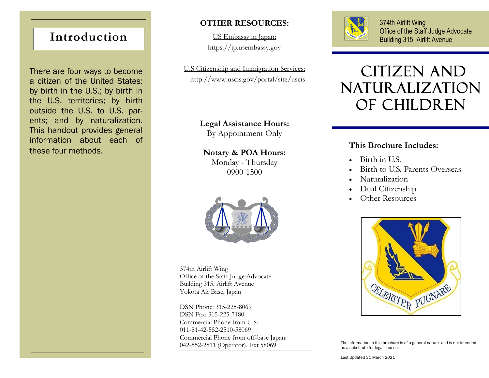# **Introduction**

There are four ways to become a citizen of the United States: by birth in the U.S.; by birth in the U.S. territories; by birth outside the U.S. to U.S. parents; and by naturalization. This handout provides general information about each of these four methods.

# **OTHER RESOURCES:**

US Embassy in Japan: https://jp.usembassy.gov

U.S Citizenship and Immigration Services: http://www.uscis.gov/portal/site/uscis

### **Legal Assistance Hours:**

By Appointment Only

**Notary & POA Hours:** Monday - Thursday

0900-1500



374th Airlift Wing Office of the Staff Judge Advocate Building 315, Airlift Avenue Yokota Air Base, Japan

DSN Phone: 315-225-8069 DSN Fax: 315-225-7180 Commercial Phone from U.S: 011-81-42-552-2510-58069 Commercial Phone from off-base Japan: 042-552-2511 (Operator), Ext 58069



374th Airlift Wing Office of the Staff Judge Advocate Building 315, Airlift Avenue

# Citizen and naturalization of children

## **This Brochure Includes:**

- Birth in U.S.
- Birth to U.S. Parents Overseas
- Naturalization
- Dual Citizenship
- Other Resources



The information in this brochure is of a general nature and is not intended as a substitute for legal counsel.